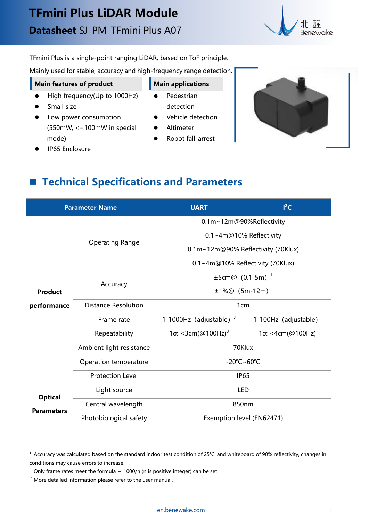

TFmini Plus is a single-point ranging LiDAR, based on ToF principle.

Mainly used for stable, accuracy and high-frequency range detection..

### **Main features** of **product Main Main applications**

Pedestrian

- High frequency(Up to 1000Hz) ●
- Small size

IP65 Enclosure

- **•** Low power consumption (550mW, <=100mW in special mode)
- detection Vehicle detection
	- Altimeter
	- Robot fall-arrest



**Technical Specifications and Parameters**

| <b>Parameter Name</b>               |                            | <b>UART</b>                        | $I^2C$               |
|-------------------------------------|----------------------------|------------------------------------|----------------------|
|                                     | <b>Operating Range</b>     | 0.1m~12m@90%Reflectivity           |                      |
|                                     |                            | 0.1~4m@10% Reflectivity            |                      |
|                                     |                            | 0.1m~12m@90% Reflectivity (70Klux) |                      |
|                                     |                            | 0.1~4m@10% Reflectivity (70Klux)   |                      |
|                                     |                            | $\pm 5$ cm@ (0.1-5m) <sup>1</sup>  |                      |
| <b>Product</b>                      | Accuracy                   | $±1\%@(5m-12m)$                    |                      |
| performance                         | <b>Distance Resolution</b> | 1 <sub>cm</sub>                    |                      |
|                                     | Frame rate                 | 1-1000Hz (adjustable) $2$          | 1-100Hz (adjustable) |
|                                     | Repeatability              | 1σ: <3cm(@100Hz) <sup>3</sup>      | 1σ: <4cm(@100Hz)     |
|                                     | Ambient light resistance   | 70Klux                             |                      |
|                                     | Operation temperature      | -20°C~60°C                         |                      |
|                                     | <b>Protection Level</b>    | <b>IP65</b>                        |                      |
| <b>Optical</b><br><b>Parameters</b> | Light source               | <b>LED</b>                         |                      |
|                                     | Central wavelength         | 850nm                              |                      |
|                                     | Photobiological safety     | Exemption level (EN62471)          |                      |

<span id="page-0-0"></span><sup>1</sup> Accuracy was calculated based on the standard indoor test condition of 25℃ and whiteboard of 90% reflectivity, changes in conditions may cause errors to increase.

<span id="page-0-1"></span> $2$  Only frame rates meet the formula – 1000/n (n is positive integer) can be set.

<span id="page-0-2"></span> $3$  More detailed information please refer to the user manual.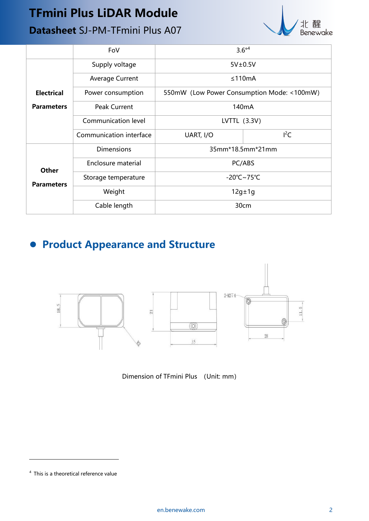# **TFmini Plus LiDAR Module**

## **Datasheet** SJ-PM-TFmini Plus A07



|                   | FoV                     | $3.6^{\circ 4}$                            |        |  |
|-------------------|-------------------------|--------------------------------------------|--------|--|
|                   | Supply voltage          | $5V\pm0.5V$                                |        |  |
|                   | <b>Average Current</b>  | ≤110mA                                     |        |  |
| <b>Electrical</b> | Power consumption       | 550mW (Low Power Consumption Mode: <100mW) |        |  |
| <b>Parameters</b> | Peak Current            | 140 <sub>m</sub> A                         |        |  |
|                   | Communication level     | LVTTL $(3.3V)$                             |        |  |
|                   | Communication interface | UART, I/O                                  | $I^2C$ |  |
|                   | <b>Dimensions</b>       | 35mm*18.5mm*21mm                           |        |  |
|                   | Enclosure material      | PC/ABS                                     |        |  |
| <b>Other</b>      | Storage temperature     | $-20^{\circ}$ C $\sim$ 75 $^{\circ}$ C     |        |  |
| <b>Parameters</b> | Weight                  | $12g \pm 1g$                               |        |  |
|                   | Cable length            | 30cm                                       |        |  |

# **Product Appearance and Structure**



Dimension of TFmini Plus (Unit: mm)

<span id="page-1-0"></span> $4$  This is a theoretical reference value